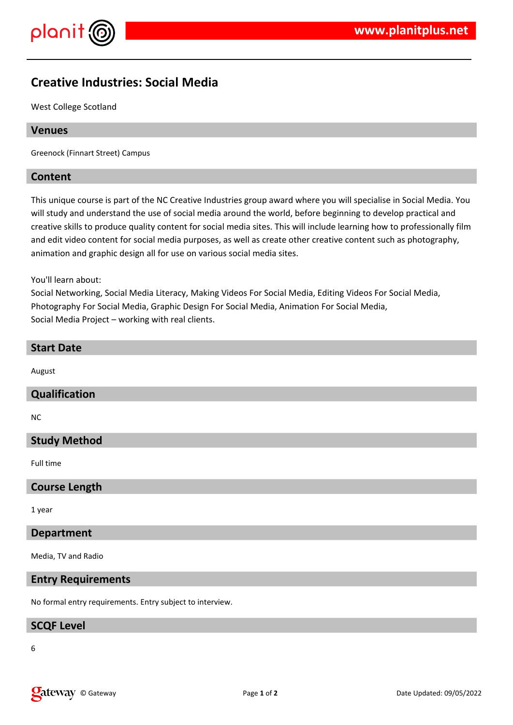

# **Creative Industries: Social Media**

West College Scotland

#### **Venues**

Greenock (Finnart Street) Campus

#### **Content**

This unique course is part of the NC Creative Industries group award where you will specialise in Social Media. You will study and understand the use of social media around the world, before beginning to develop practical and creative skills to produce quality content for social media sites. This will include learning how to professionally film and edit video content for social media purposes, as well as create other creative content such as photography, animation and graphic design all for use on various social media sites.

You'll learn about:

Social Networking, Social Media Literacy, Making Videos For Social Media, Editing Videos For Social Media, Photography For Social Media, Graphic Design For Social Media, Animation For Social Media, Social Media Project – working with real clients.

# **Start Date**

August

#### **Qualification**

NC

### **Study Method**

Full time

#### **Course Length**

1 year

#### **Department**

Media, TV and Radio

#### **Entry Requirements**

No formal entry requirements. Entry subject to interview.

#### **SCQF Level**

6